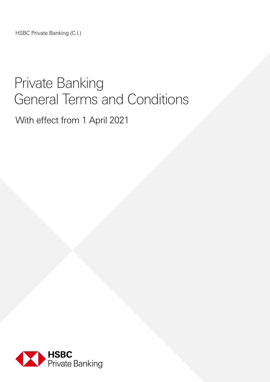HSBC Private Banking (C.I.)

# Private Banking General Terms and Conditions

With effect from 1 April 2021

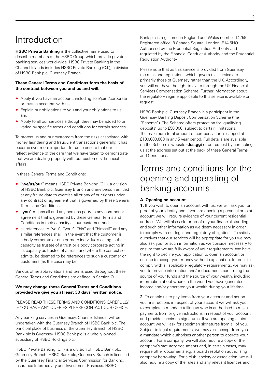## Introduction

**HSBC Private Banking** is the collective name used to describe members of the HSBC Group which provide private banking services world-wide. HSBC Private Banking in the Channel Islands includes HSBC Private Banking (C.I.), a division of HSBC Bank plc, Guernsey Branch.

#### **These General Terms and Conditions form the basis of the contract between you and us and will:**

- ® Apply if you have an account, including sole/joint/corporate or trustee accounts with us;
- ® Explain our obligations to you and your obligations to us; and
- ® Apply to all our services although they may be added to or varied by specific terms and conditions for certain services.

To protect us and our customers from the risks associated with money laundering and fraudulent transactions generally, it has become ever more important for us to ensure that our files reflect evidence of the care that we have taken to demonstrate that we are dealing properly with our customers' financial affairs.

In these General Terms and Conditions:

- ® "**we/us/our**" means HSBC Private Banking (C.I.), a division of HSBC Bank plc, Guernsey Branch and any person entitled at any future date to exercise all or any of our rights under any contract or agreement that is governed by these General Terms and Conditions;
- ® "**you**" means all and any persons party to any contract or agreement that is governed by these General Terms and Conditions in their capacity as our customer; and
- ◆ all references to "you", "your", "his" and "himself" and any similar references shall, in the event that the customer is a body corporate or one or more individuals acting in their capacity as trustee of a trust or a body corporate acting in its capacity as trustee of a trust, and where the context so admits, be deemed to be references to such a customer or customers (as the case may be).

Various other abbreviations and terms used throughout these General Terms and Conditions are defined in Section O.

#### **We may change these General Terms and Conditions provided we give you at least 30 days' written notice.**

PLEASE READ THESE TERMS AND CONDITIONS CAREFULLY. IF YOU HAVE ANY QUERIES PLEASE CONTACT OUR OFFICE.

Any banking services in Guernsey, Channel Islands, will be undertaken with the Guernsey Branch of HSBC Bank plc. The principal place of business of the Guernsey Branch of HSBC Bank plc is Guernsey. HSBC Bank plc is a wholly owned subsidiary of HSBC Holdings plc.

HSBC Private Banking (C.I.) is a division of HSBC Bank plc, Guernsey Branch. HSBC Bank plc, Guernsey Branch is licensed by the Guernsey Financial Services Commission for Banking, Insurance Intermediary and Investment Business. HSBC

Bank plc is registered in England and Wales number 14259. Registered office: 8 Canada Square, London, E14 5HQ. Authorised by the Prudential Regulation Authority and regulated by the Financial Conduct Authority and the Prudential Regulation Authority.

Please note that as this service is provided from Guernsey, the rules and regulations which govern this service are primarily those of Guernsey rather than the UK. Accordingly, you will not have the right to claim through the UK Financial Services Compensation Scheme. Further information about the regulatory regime applicable to this service is available on request.

HSBC Bank plc, Guernsey Branch is a participant in the Guernsey Banking Deposit Compensation Scheme (the "Scheme"). The Scheme offers protection for 'qualifying deposits' up to £50,000, subject to certain limitations. The maximum total amount of compensation is capped at £100,000,000 in any 5 year period. Full details are available on the Scheme's website (**dcs.gg**) or on request by contacting us at the address set out at the back of these General Terms and Conditions.

### Terms and conditions for the opening and operating of banking accounts

#### **A. Opening an account**

**1.** If you wish to open an account with us, we will ask you for proof of your identity and if you are opening a personal or joint account we will require evidence of your current residential address. We will also ask for proof of your financial standing and such other information as we deem necessary in order to comply with our legal and regulatory obligations. To satisfy ourselves that our services will be appropriate for you we may also ask you for such information as we consider necessary to ensure that we are fully aware of your requirements. We have the right to decline your application to open an account or decline to accept your money without explanation. In order to comply with all applicable regulatory requirements, we may ask you to provide information and/or documents confirming the source of your funds and the source of your wealth, including information about where in the world you have generated income and/or generated your wealth during your lifetime.

**2.** To enable us to pay items from your account and act on your instructions in respect of your account we will ask you to complete a mandate telling us who is authorised to make payments from or give instructions in respect of your account and provide specimen signatures. If you are opening a joint account we will ask for specimen signatures from all of you. Subject to legal requirements, we may also accept from you a mandate which authorises another person to operate your account. For a company, we will also require a copy of the company's statutory documents and, in certain cases, may require other documents e.g. a board resolution authorising company borrowing. For a club, society or association, we will also require a copy of the rules and any relevant licences and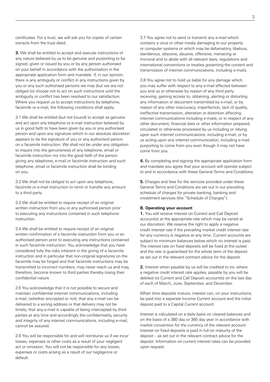certificates. For a trust, we will ask you for copies of certain extracts from the trust deed.

**3.** We shall be entitled to accept and execute instructions of any nature believed by us to be genuine and purporting to be signed, given or issued by you or by any person authorised on your behalf in accordance with the authorisation in the appropriate application form and mandate. If, in our opinion, there is any ambiguity or conflict in any instructions given by you or any such authorised persons we may (but we are not obliged to) choose not to act on such instructions until the ambiguity or conflict has been resolved to our satisfaction. Where you request us to accept instructions by telephone, facsimile or e-mail, the following conditions shall apply:

3.1 We shall be entitled (but not bound) to accept as genuine and act upon any telephone or e-mail instruction believed by us in good faith to have been given by you or any authorised person and upon any signature which in our absolute discretion appears to be the signature of you or any authorised person on a facsimile instruction. We shall not be under any obligation to inquire into the genuineness of any telephone, email or facsimile instruction nor into the good faith of the person giving any telephone, e-mail or facsimile instruction and such telephone, email or facsimile instruction shall be binding on you.

3.2 We shall not be obliged to act upon any telephone, facsimile or e-mail instruction to remit or transfer any amount to a third party.

3.3 We shall be entitled to require receipt of an original written instruction from you or any authorised person prior to executing any instructions contained in such telephone instruction.

3.4 We shall be entitled to require receipt of an original written confirmation of a facsimile instruction from you or an authorised person prior to executing any instructions contained in such facsimile instruction. You acknowledge that you have considered fully the risks inherent in the giving of a facsimile instruction and in particular that non-original signatures on the facsimile may be forged and that facsimile instructions may be transmitted to incorrect numbers, may never reach us and may, therefore, become known to third parties thereby losing their confidential nature.

3.5 You acknowledge that it is not possible to secure and maintain confidential internet communications, including e-mail, (whether encrypted or not); that any e-mail can be delivered to a wrong address or that delivery may not be timely; that any e-mail is capable of being intercepted by third parties at any time and accordingly the confidentiality, security and integrity of any internet communications, including e-mail, cannot be assured.

3.6 You will be responsible for and will reimburse us if we incur losses, expenses or other costs as a result of your negligent act or omission. You will not be responsible for any losses, expenses or costs arising as a result of our negligence or default.

3.7 You agree not to send or transmit any e-mail which contains a virus or other media damaging to our property or computer systems or which may be defamatory, libelous, slanderous, obscene, abusive, offensive, menacing or immoral and to abide with all relevant laws, regulations and international conventions or treaties governing the content and transmission of internet communications, including e-mails.

3.8 You agree not to hold us liable for any damage which you may suffer with respect to any e-mail effected between you and us or otherwise by reason of any third party receiving, gaining access to, obtaining, alerting or distorting any information or document transmitted by e-mail; or by reason of any other inaccuracy, imperfection, lack of quality, ineffective transmission, alteration or distortion affecting internet communications including e-mails; or in respect of any other document, financial data or other information prepared, circulated or otherwise processed by us including or relying upon such internet communications, including e-mail; or by us acting upon any internet communication, including e-mail, purporting to come from you even though it may not have come from you.

**4.** By completing and signing the appropriate application form and mandate you agree that your account will operate subject to and in accordance with these General Terms and Conditions.

**5.** Charges and fees for the services provided under these General Terms and Conditions are set out in our prevailing schedule of charges for private banking, banking and investment services (the "Schedule of Charges").

#### **B. Operating your account**

**1.** You will receive interest on Current and Call Deposit account(s) at the appropriate rate which may be varied at our discretion. We reserve the right to apply a negative credit interest rate if the prevailing market credit interest rate for any currency is negative at any time. Current accounts are subject to minimum balances below which no interest is paid. The interest rate on fixed deposits will be fixed at the outset and the rate is guaranteed for the whole term of the deposit as set out in the relevant contract advice for the deposit.

**2.** Interest when payable by us will be credited to (or, where a negative credit interest rate applies, payable by you will be debited to) Current and Call Deposit account(s) on the last day of each of March, June, September, and December.

When time deposits mature, interest can, on your instructions, be paid into a separate Income Current account and the initial deposit paid to a Capital Current account.

Interest is calculated on a daily basis on cleared balances and on the basis of a 360 day or 365 day year in accordance with market convention for the currency of the relevant account. Interest on fixed deposits is paid in full on maturity of the deposit – as set out in the relevant contract advice for the deposit. Information on current interest rates can be provided upon request.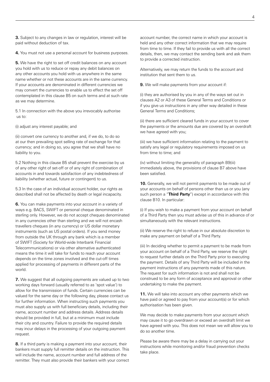**4.** You must not use a personal account for business purposes.

**5.** We have the right to set off credit balances on any account you hold with us to reduce or repay any debit balances on any other accounts you hold with us anywhere in the same name whether or not these accounts are in the same currency. If your accounts are denominated in different currencies we may convert the currencies to enable us to effect the set off contemplated in this clause B5 on such terms and at such rate as we may determine.

5.1 In connection with the above you irrevocably authorise us to:

(i) adjust any interest payable; and

(ii) convert one currency to another and, if we do, to do so at our then prevailing spot selling rate of exchange for that currency; and in doing so, you agree that we shall have no liability to you.

5.2 Nothing in this clause B5 shall prevent the exercise by us of any other right of set-off or of any right of combination of accounts in and towards satisfaction of any indebtedness of liability (whether actual, future or contingent) to us.

5.3 In the case of an individual account holder, our rights as described shall not be affected by death or legal incapacity.

**6.** You can make payments into your account in a variety of ways e.g. BACS, SWIFT or personal cheque denominated in sterling only. However, we do not accept cheques denominated in any currencies other than sterling and we will not encash travellers cheques (in any currency) or US dollar monetary instruments (such as US postal orders). If you send money from outside the UK through any bank which is a member of SWIFT (Society for World-wide Interbank Financial Telecommunications) or via other alternative authenticated means the time it will take for funds to reach your account depends on the time zones involved and the cut-off times applied for processing of payments in different parts of the world.

**7.** We suggest that all outgoing payments are valued up to two working days forward (usually referred to as 'spot value') to allow for the transmission of funds. Certain currencies can be valued for the same day or the following day, please contact us for further information. When instructing such payments you must also supply us with full beneficiary details, including their name, account number and address details. Address details should be provided in full, but at a minimum must include their city and country. Failure to provide the required details may incur delays in the processing of your outgoing payment request.

**8.** If a third party is making a payment into your account, their bankers must supply full remitter details on the instruction. This will include the name, account number and full address of the remitter. They must also provide their bankers with your correct

account number, the correct name in which your account is held and any other correct information that we may require from time to time. If they fail to provide us with all the correct details, then, we may contact the sending bank and ask them to provide a corrected instruction.

Alternatively, we may return the funds to the account and institution that sent them to us.

**9.** We will make payments from your account if:

(i) they are authorised by you in any of the ways set out in clauses A2 or A3 of these General Terms and Conditions or if you give us instructions in any other way detailed in these General Terms and Conditions;

(ii) there are sufficient cleared funds in your account to cover the payments or the amounts due are covered by an overdraft we have agreed with you;

(iii) we have sufficient information relating to the payment to satisfy any legal or regulatory requirements imposed on us from time to time; and

(iv) without limiting the generality of paragraph B9(iii) immediately above, the provisions of clause B7 above have been satisfied.

**10.** Generally, we will not permit payments to be made out of your accounts on behalf of persons other than us or you (any such person a "**Third Party**") except in accordance with this clause B10. In particular:

(i) If you wish to make a payment from your account on behalf of a Third Party then you must advise us of this in advance of or simultaneously with the relevant instructions.

(ii) We reserve the right to refuse in our absolute discretion to make any payment on behalf of a Third Party.

(iii) In deciding whether to permit a payment to be made from your account on behalf of a Third Party, we reserve the right to request further details on the Third Party prior to executing the payment. Details of any Third Party will be included in the payment instructions of any payments made of this nature. The request for such information is not and shall not be construed to be any form of acceptance and approval or other undertaking to make the payment.

**11.** We will take into account any other payments which we have paid or agreed to pay from your account(s) or for which authorisation has been given.

We may decide to make payments from your account which may cause it to go overdrawn or exceed an overdraft limit we have agreed with you. This does not mean we will allow you to do so another time.

Please be aware there may be a delay in carrying out your instructions while monitoring and/or fraud prevention checks take place.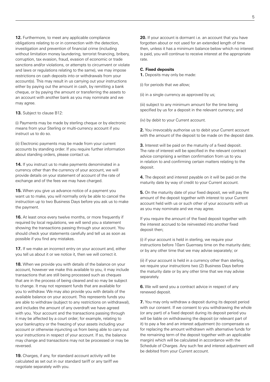**12.** Furthermore, to meet any applicable compliance obligations relating to or in connection with the detection, investigation and prevention of financial crime (including without limitation money laundering, terrorist financing, bribery, corruption, tax evasion, fraud, evasion of economic or trade sanctions and/or violations, or attempts to circumvent or violate and laws or regulations relating to the same), we may impose restrictions on cash deposits into or withdrawals from your account(s). This may result in us carrying out your instructions either by paying out the amount in cash, by remitting a bank cheque, or by paying the amount or transferring the assets to an account with another bank as you may nominate and we may agree.

**13.** Subject to clause B12:

(i) Payments may be made by sterling cheque or by electronic means from your Sterling or multi-currency account if you instruct us to do so.

(ii) Electronic payments may be made from your current accounts by standing order. If you require further information about standing orders, please contact us.

**14.** If you instruct us to make payments denominated in a currency other than the currency of your account, we will provide details on your statement of account of the rate of exchange and of the fees we may have charged.

**15.** When you give us advance notice of a payment you want us to make, you will normally only be able to cancel the instruction up to two Business Days before you ask us to make the payment.

**16.** At least once every twelve months, or more frequently if required by local regulations, we will send you a statement showing the transactions passing through your account. You should check your statements carefully and tell us as soon as possible if you find any mistakes.

**17.** If we make an incorrect entry on your account and, either you tell us about it or we notice it, then we will correct it.

**18.** When we provide you with details of the balance on your account, however we make this available to you, it may include transactions that are still being processed such as cheques that are in the process of being cleared and so may be subject to change. It may not represent funds that are available for you to withdraw. We may also provide you with details of the available balance on your account. This represents funds you are able to withdraw (subject to any restrictions on withdrawal), and includes the amount of any overdraft we have agreed with you. Your account and the transactions passing through it may be affected by a court order; for example, relating to your bankruptcy or the freezing of your assets including your account or otherwise injuncting us from being able to carry out your instructions in respect of your account. If so, the balance may change and transactions may not be processed or may be reversed.

**19.** Charges, if any, for standard account activity will be calculated as set out in our standard tariff or any tariff we negotiate separately with you.

**20.** If your account is dormant i.e. an account that you have forgotten about or not used for an extended length of time then, unless it has a minimum balance below which no interest is paid, you will continue to receive interest at the appropriate rate.

#### **C. Fixed deposits**

**1.** Deposits may only be made:

(i) for periods that we allow;

(ii) in a single currency as approved by us;

(iii) subject to any minimum amount for the time being specified by us for a deposit in the relevant currency; and

(iv) by debit to your Current account.

**2.** You irrevocably authorise us to debit your Current account with the amount of the deposit to be made on the deposit date.

**3.** Interest will be paid on the maturity of a fixed deposit. The rate of interest will be specified in the relevant contract advice comprising a written confirmation from us to you in relation to and confirming certain matters relating to the deposit.

**4.** The deposit and interest payable on it will be paid on the maturity date by way of credit to your Current account.

**5.** On the maturity date of your fixed deposit, we will pay the amount of the deposit together with interest to your Current account held with us or such other of your accounts with us as you may nominate and we may agree.

If you require the amount of the fixed deposit together with the interest accrued to be reinvested into another fixed deposit then;

(i) if your account is held in sterling, we require your instructions before 10am Guernsey time on the maturity date; or by any other time that we may advise separately; or

(ii) if your account is held in a currency other than sterling, we require your instructions two (2) Business Days before the maturity date or by any other time that we may advise separately.

**6.** We will send you a contract advice in respect of any renewed deposit.

**7.** You may only withdraw a deposit during its deposit period with our consent. If we consent to you withdrawing the whole (or any part) of a fixed deposit during its deposit period you will be liable on withdrawing the deposit (or relevant part of it) to pay a fee and an interest adjustment (to compensate us for replacing the amount withdrawn with alternative funds for the remaining term of the deposit together with an applicable margin) which will be calculated in accordance with the Schedule of Charges. Any such fee and interest adjustment will be debited from your Current account.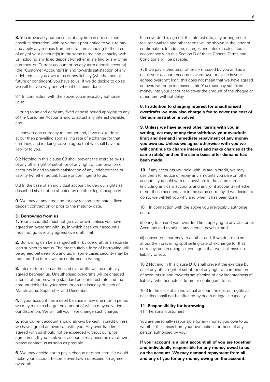**8.** You irrevocably authorise us at any time in our sole and absolute discretion, with or without prior notice to you, to pay and apply any monies from time to time standing to the credit of any of your account(s) in the same name and capacity with us including any fixed deposit (whether in sterling or any other currency, on Current account or on any term deposit account) (the "Customer Accounts") in and towards satisfaction of any indebtedness you owe to us or any liability (whether actual, future or contingent) you have to us. If we do decide to do so we will tell you why and when it has been done.

8.1 In connection with the above you irrevocably authorise us to:

(i) bring to an end early any fixed deposit period applying to any of the Customer Accounts and to adjust any interest payable; and

(ii) convert one currency to another and, if we do, to do so at our then prevailing spot selling rate of exchange for that currency; and in doing so, you agree that we shall have no liability to you.

8.2 Nothing in this clause C8 shall prevent the exercise by us of any other right of set-off or of any right of combination of accounts in and towards satisfaction of any indebtedness or liability (whether actual, future or contingent) to us.

8.3 In the case of an individual account holder, our rights as described shall not be affected by death or legal incapacity.

**9.** We may at any time and for any reason terminate a fixed deposit contract on or prior to the maturity date.

#### **D. Borrowing from us**

**1.** Your account(s) must not go overdrawn unless you have agreed an overdraft with us, in which case your account(s) must not go over any agreed overdraft limit.

**2.** Borrowing can be arranged either by overdraft or a separate loan subject to status. The most suitable form of borrowing will be agreed between you and us. In some cases security may be required. The terms will be confirmed in writing.

**3.** Interest terms on authorised overdrafts will be mutually agreed between us. Unauthorised overdrafts will be charged interest at our prevailing standard debit interest rate and the amount debited to your account on the last day of each of March, June, September and December.

**4.** If your account has a debit balance in any one month period we may make a charge the amount of which may be varied at our discretion. We will tell you if we change such charge.

**5.** Your Current account should always be kept in credit unless we have agreed an overdraft with you. Any overdraft limit agreed with us should not be exceeded without our prior agreement. If you think your accounts may become overdrawn, please contact us as soon as possible.

**6.** We may decide not to pay a cheque or other item if it would make your account become overdrawn or exceed an agreed overdraft.

If an overdraft is agreed, the interest rate, any arrangement fee, renewal fee and other terms will be shown in the letter of confirmation. In addition, charges and interest calculated in accordance with this Section D of these General Terms and Conditions will be payable.

**7.** If we pay a cheque or other item issued by you and as a result your account becomes overdrawn or exceeds your agreed overdraft limit, this does not mean that we have agreed an overdraft or an increased limit. You must pay sufficient money into your account to cover the amount of the cheque or other item without delay.

#### **8. In addition to charging interest for unauthorised overdrafts we may also charge a fee to cover the cost of the administration involved.**

**9. Unless we have agreed other terms with you in writing, we may at any time withdraw your overdraft limit and demand immediate repayment of any money you owe us. Unless we agree otherwise with you we will continue to charge interest and make charges at the same rate(s) and on the same basis after demand has been made.** 

**10.** If any accounts you hold with us are in credit, we may use them to reduce or repay any amounts you owe on other accounts you hold with us anywhere in the same name (including any card accounts and any joint accounts) whether or not those accounts are in the same currency. If we decide to do so, we will tell you why and when it has been done.

10.1 In connection with the above you irrevocably authorise us to:

(i) bring to an end your overdraft limit applying to any Customer Accounts and to adjust any interest payable; and

(ii) convert one currency to another and, if we do, to do so at our then prevailing spot selling rate of exchange for that currency; and in doing so, you agree that we shall have no liability to you.

10.2 Nothing in this clause D10 shall prevent the exercise by us of any other right of set-off or of any right of combination of accounts in and towards satisfaction of any indebtedness of liability (whether actual, future or contingent) to us.

10.3 In the case of an individual account holder, our rights as described shall not be affected by death or legal incapacity.

#### **11. Responsibility for borrowing**

11.1 Personal customers

You are personally responsible for any money you owe to us whether this arises from your own actions or those of any person authorised by you.

**If your account is a joint account all of you are together and individually responsible for any money owed to us on the account. We may demand repayment from all and any of you for any money owing on the account.**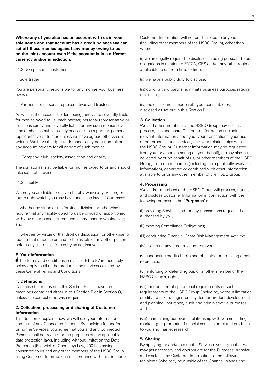**Where any of you also has an account with us in your sole name and that account has a credit balance we can set off these monies against any money owing to us on the joint account even if the account is in a different currency and/or jurisdiction.** 

11.2 Non personal customers

(i) Sole trader

You are personally responsible for any monies your business owes us.

(ii) Partnership, personal representatives and trustees

As well as the account holders being jointly and severally liable for monies owed to us, each partner, personal representative or trustee is jointly and severally liable for any such monies, even if he or she has subsequently ceased to be a partner, personal representative or trustee unless we have agreed otherwise in writing. We have the right to demand repayment from all or any account holders for all or part of such monies.

(iii) Company, club, society, association and charity

The signatories may be liable for monies owed to us and should take separate advice.

#### 11.3 Liability

Where you are liable to us, you hereby waive any existing or future right which you may have under the laws of Guernsey:

(i) whether by virtue of the 'droit de division' or otherwise to require that any liability owed to us be divided or apportioned with any other person or reduced in any manner whatsoever; and

(ii) whether by virtue of the 'droit de discussion' or otherwise to require that recourse be had to the assets of any other person before any claim is enforced by us against you.

#### **E. Your information**

**U** The terms and conditions in clauses E1 to E7 immediately below apply to all of the products and services covered by these General Terms and Conditions.

#### **1. Definitions**

Capitalised terms used in this Section E shall have the meanings contained either in this Section E or in Section O, unless the context otherwise requires.

#### **2. Collection, processing and sharing of Customer Information**

This Section E explains how we will use your information and that of any Connected Persons. By applying for and/or using the Services, you agree that you and any Connected Persons shall be treated for the purposes of any applicable data protection laws, including without limitation the Data Protection (Bailiwick of Guernsey) Law, 2001 as having consented to us and any other members of the HSBC Group using Customer Information in accordance with this Section E.

Customer Information will not be disclosed to anyone (including other members of the HSBC Group), other than where:

(i) we are legally required to disclose including pursuant to our obligations in relation to FATCA, CRS and/or any other regime applicable to us from time to time;

(ii) we have a public duty to disclose;

(iii) our or a third party's legitimate business purposes require disclosure;

(iv) the disclosure is made with your consent; or (v) it is disclosed as set out in this Section E.

#### **3. Collection**

We and other members of the HSBC Group may collect, process, use and share Customer Information (including relevant information about you, your transactions, your use of our products and services, and your relationships with the HSBC Group). Customer Information may be requested from you (or a person acting on your behalf), or may also be collected by or on behalf of us, or other members of the HSBC Group, from other sources (including from publically available information), generated or combined with other information available to us or any other member of the HSBC Group.

#### **4. Processing**

We and/or members of the HSBC Group will process, transfer and disclose Customer Information in connection with the following purposes (the "**Purposes**"):

(i) providing Services and for any transactions requested or authorised by you;

(ii) meeting Compliance Obligations;

(iii) conducting Financial Crime Risk Management Activity;

(iv) collecting any amounts due from you;

(v) conducting credit checks and obtaining or providing credit references;

(vi) enforcing or defending our, or another member of the HSBC Group's, rights;

(vii) for our internal operational requirements or such requirements of the HSBC Group (including, without limitation, credit and risk management, system or product development and planning, insurance, audit and administrative purposes); and

(viii) maintaining our overall relationship with you (including marketing or promoting financial services or related products to you and market research)

#### **5. Sharing**

By applying for and/or using the Services, you agree that we may (as necessary and appropriate for the Purposes) transfer and disclose any Customer Information to the following recipients (who may be outside of the Channel Islands and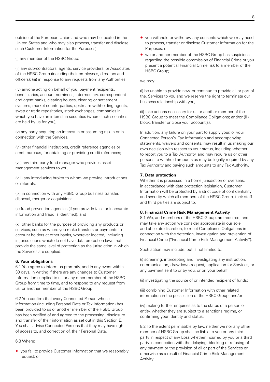outside of the European Union and who may be located in the United States and who may also process, transfer and disclose such Customer Information for the Purposes):

(i) any member of the HSBC Group;

(ii) any sub-contractors, agents, service providers, or Associates of the HSBC Group (including their employees, directors and officers); (iii) in response to any requests from any Authorities;

(iv) anyone acting on behalf of you, payment recipients, beneficiaries, account nominees, intermediary, correspondent and agent banks, clearing houses, clearing or settlement systems, market counterparties, upstream withholding agents, swap or trade repositories, stock exchanges, companies in which you have an interest in securities (where such securities are held by us for you);

(v) any party acquiring an interest in or assuming risk in or in connection with the Services;

(vi) other financial institutions, credit reference agencies or credit bureaus, for obtaining or providing credit references;

(vii) any third party fund manager who provides asset management services to you;

(viii) any introducing broker to whom we provide introductions or referrals;

(ix) in connection with any HSBC Group business transfer, disposal, merger or acquisition;

(x) fraud prevention agencies (if you provide false or inaccurate information and fraud is identified); and

(xi) other banks for the purpose of providing any products or services, such as where you make transfers or payments to account holders at other banks, wherever located, including in jurisdictions which do not have data protection laws that provide the same level of protection as the jurisdiction in which the Services are supplied.

#### **6. Your obligations**

6.1 You agree to inform us promptly, and in any event within 30 days, in writing if there are any changes to Customer Information supplied to us or any other member of the HSBC Group from time to time, and to respond to any request from us, or another member of the HSBC Group.

6.2 You confirm that every Connected Person whose information (including Personal Data or Tax Information) has been provided to us or another member of the HSBC Group has been notified of and agreed to the processing, disclosure and transfer of their information as set out in this Section E. You shall advise Connected Persons that they may have rights of access to, and correction of, their Personal Data.

#### 6.3 Where:

® you fail to provide Customer Information that we reasonably request; or

- ® you withhold or withdraw any consents which we may need to process, transfer or disclose Customer Information for the Purposes; or
- ® we or another member of the HSBC Group has suspicions regarding the possible commission of Financial Crime or you present a potential Financial Crime risk to a member of the HSBC Group;

#### we may:

(i) be unable to provide new, or continue to provide all or part of the, Services to you and we reserve the right to terminate our business relationship with you;

(ii) take actions necessary for us or another member of the HSBC Group to meet the Compliance Obligations; and/or (iii) block, transfer or close your account(s).

In addition, any failure on your part to supply your, or your Connected Person's, Tax Information and accompanying statements, waivers and consents, may result in us making our own decision with respect to your status, including whether to report you to a Tax Authority, and may require us or other persons to withhold amounts as may be legally required by any Tax Authority and paying such amounts to any Tax Authority.

#### **7. Data protection**

Whether it is processed in a home jurisdiction or overseas, in accordance with data protection legislation, Customer Information will be protected by a strict code of confidentiality and security which all members of the HSBC Group, their staff and third parties are subject to.

#### **8. Financial Crime Risk Management Activity**

8.1 We, and members of the HSBC Group, are required, and may take any action we consider appropriate in our sole and absolute discretion, to meet Compliance Obligations in connection with the detection, investigation and prevention of Financial Crime ("Financial Crime Risk Management Activity").

Such action may include, but is not limited to:

(i) screening, intercepting and investigating any instruction, communication, drawdown request, application for Services, or any payment sent to or by you, or on your behalf;

(ii) investigating the source of or intended recipient of funds;

(iii) combining Customer Information with other related information in the possession of the HSBC Group; and/or

(iv) making further enquiries as to the status of a person or entity, whether they are subject to a sanctions regime, or confirming your identity and status.

8.2 To the extent permissible by law, neither we nor any other member of HSBC Group shall be liable to you or any third party in respect of any Loss whether incurred by you or a third party in connection with the delaying, blocking or refusing of any payment or the provision of all or part of the Services or otherwise as a result of Financial Crime Risk Management Activity.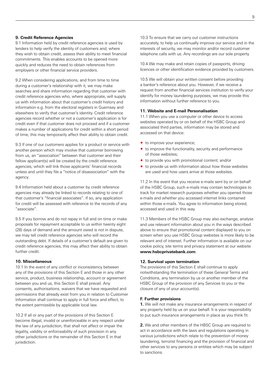#### **9. Credit Reference Agencies**

9.1 Information held by credit reference agencies is used by lenders to help verify the identity of customers and, where they wish to obtain credit, assess their ability to meet financial commitments. This enables accounts to be opened more quickly and reduces the need to obtain references from employers or other financial service providers.

9.2 When considering applications, and from time to time during a customer's relationship with it, we may make searches and share information regarding that customer with credit reference agencies who, where appropriate, will supply us with information about that customer's credit history and information e.g. from the electoral registers in Guernsey and elsewhere to verify that customer's identity. Credit reference agencies record whether or not a customer's application is for credit even if that customer does not proceed and if a customer makes a number of applications for credit within a short period of time, this may temporarily affect their ability to obtain credit.

9.3 If one of our customers applies for a product or service with another person which may involve that customer borrowing from us, an "association" between that customer and their fellow applicant(s) will be created by the credit reference agencies, which will link those applicants' financial records unless and until they file a "notice of disassociation" with the agency.

9.4 Information held about a customer by credit reference agencies may already be linked to records relating to one of that customer's "financial associates". If so, any application for credit will be assessed with reference to the records of any "associate".

9.5 If you borrow and do not repay in full and on time or make proposals for repayment acceptable to us within twenty eight (28) days of demand and the amount owed is not in dispute, we may tell credit reference agencies who will record the outstanding debt. If details of a customer's default are given to credit reference agencies, this may affect their ability to obtain further credit.

#### **10. Miscellaneous**

10.1 In the event of any conflict or inconsistency between any of the provisions of this Section E and those in any other service, product, business relationship, account or agreement between you and us, this Section E shall prevail. Any consents, authorisations, waivers that we have requested and permissions that already exist from you in relation to Customer Information shall continue to apply in full force and effect, to the extent permissible by applicable local law.

10.2 If all or any part of the provisions of this Section E become illegal, invalid or unenforceable in any respect under the law of any jurisdiction, that shall not affect or impair the legality, validity or enforceability of such provision in any other jurisdictions or the remainder of this Section E in that jurisdiction.

10.3 To ensure that we carry out customer instructions accurately, to help us continually improve our service and in the interests of security, we may monitor and/or record customer telephone calls with us. Any recordings are our sole property.

10.4 We may make and retain copies of passports, driving licences or other identification evidence provided by customers.

10.5 We will obtain your written consent before providing a banker's reference about you. However, if we receive a request from another financial services institution to verify your identify for money laundering purposes, we may provide this information without further reference to you.

#### **11. Website and E-mail Personalisation**

11.1 When you use a computer or other device to access websites operated by or on behalf of the HSBC Group and associated third parties, information may be stored and accessed on that device:

- $\bullet$  to improve your experience;
- $\bullet$  to improve the functionality, security and performance of those websites;
- ® to provide you with promotional content; and/or
- $\bullet$  to provide us with information about how those websites are used and how users arrive at those websites.

11.2 In the event that you receive e-mails sent by or on behalf of the HSBC Group, such e-mails may contain technologies to track for market research purposes whether you opened those e-mails and whether you accessed internet links contained within those e-mails. You agree to information being stored, accessed and used in this way.

11.3 Members of the HSBC Group may also exchange, analyse and use relevant information about you in the ways described above to ensure that promotional content displayed to you on screen when you use HSBC Group websites is more likely to be relevant and of interest. Further information is available on our cookie policy, site terms and privacy statement at our website **www.hsbcprivatebank.com**.

#### **12. Survival upon termination**

The provisions of this Section E shall continue to apply notwithstanding the termination of these General Terms and Conditions, any termination by us or another member of the HSBC Group of the provision of any Services to you or the closure of any of your account(s).

#### **F. Further provisions**

**1.** We will not make any insurance arrangements in respect of any property held by us on your behalf. It is your responsibility to put such insurance arrangements in place as you think fit.

**2.** We and other members of the HBSC Group are required to act in accordance with the laws and regulations operating in various jurisdictions which relate to the prevention of money laundering, terrorist financing and the provision of financial and other services to any persons or entities which may be subject to sanctions.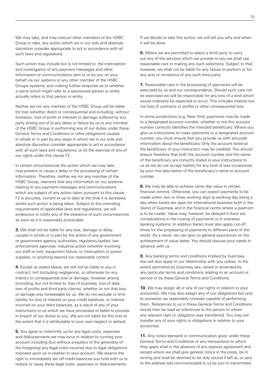We may take, and may instruct other members of the HSBC Group to take, any action which we in our sole and absolute discretion consider appropriate to act in accordance with all such laws and regulations.

Such action may include but is not limited to: the interception and investigation of any payment messages and other information or communications sent to or by you on your behalf via our systems or any other member of the HSBC Groups systems; and making further enquiries as to whether a name which might refer to a sanctioned person or entity actually refers to that person or entity.

Neither we nor any member of the HSBC Group will be liable for loss (whether direct or consequential and including, without limitation, loss of profit or interest) or damage suffered by any party arising out of (i) any delay or failure by us or any member of the HSBC Group in performing any of our duties under these General Terms and Conditions or other obligations caused in whole or in part by any steps in which we in our sole and absolute discretion consider appropriate to act in accordance with all such laws and regulations; or (ii) the exercise of any of our rights under this clause F2.

In certain circumstances the action which we may take may prevent or cause a delay in the processing of certain information. Therefore, neither we nor any member of the HSBC Group, warrants that any information on our systems relating to any payment messages and communications which are subject of any action taken pursuant to this clause F2 is accurate, current or up to date at the time it is accessed, whilst such action is being taken. Subject to the overriding requirements of applicable laws and regulations, we will endeavour to notify you of the existence of such circumstances as soon as it is reasonably practicable.

**3.** We shall not be liable for any loss, damage or delay caused in whole or in part by the action of any government or government agency, authorities, regulatory bodies, law enforcement agencies, industrial action (whether involving our staff or not), equipment failure, or interruption to power supplies, or anything beyond our reasonable control.

**4.** Except as stated below, we will not be liable to you in contract, tort (including negligence), or otherwise for any indirect or consequential loss or damage, however arising (including, but not limited to, loss of business, loss of data, loss of profits and third party claims), whether or not that loss or damage was foreseeable by us. We do not exclude or limit liability for loss of interest on your credit balances, or interest incurred on your debit balances, as a result of any of your instructions to us which we have processed or failed to process in breach of our duties to you. We are not liable for this loss to the extent that it is attributable to your own neglect or default.

**5.** You agree to indemnify us for any legal costs, expenses and disbursements we may incur in relation to running your account including (but without prejudice to the generality of the foregoing) any legal costs incurred due to legal obligations imposed upon us in relation to your account. We reserve the right to immediately set off credit balances you hold with us to reduce or repay these legal costs, expenses or disbursements.

If we decide to take this action, we will tell you why and when it will be done.

**6.** Where we are permitted to select a third party to carry out any of the services which we provide to you we shall use reasonable care in making any such selections. Subject to that, however, we shall not be liable for any failure to perform or for any acts or omissions of any such third party.

**7.** Reasonable care in the processing of payments will be exercised by us and our correspondents. Should such care not be exercised we will be responsible for any loss of a kind which would ordinarily be expected to occur. This includes interest but not loss of contracts or profits or other consequential loss.

In some jurisdictions (e.g. New York) payments may be made to a designated account number, whether or not this account number correctly identifies the intended beneficiary. Where you give us instructions to make payments to a designated account number, you must ensure that you provide us with accurate information about the beneficiary. Only the account listed as the beneficiary of your instruction may be credited. You should ensure therefore that both the account number and the name of the beneficiary are correctly stated in your instructions to us as we do not accept liability for any kind of loss occasioned by your mis-description of the beneficiary's name or account number.

**8.** We may be able to achieve same day value in certain financial centres. Otherwise, you can expect payments to be made within two or three working days (a working day being a day when banks are open for international business both in the Island of Guernsey and in the financial centre where a payment is to be made). Value may, however, be delayed if there are complications in the routing of payments or in overseas banking systems. In addition banks must also apply cut-off times for the processing of payments to different parts of the world. As a result, we can give no general assurances on the achievement of value dates. You should discuss your needs in advance with us.

**9.** Any banking terms and conditions implied by Guernsey law will also apply to our relationship with you unless, to the extent permitted by Guernsey law, varied or amended by any particular terms and conditions relating to an account or service or by these General Terms and Conditions.

**10.** We may assign all or any of our rights in relation to your account(s). We may also assign any of our obligations but only to someone we reasonably consider capable of performing them. References to us in these General Terms and Conditions would then be read as references to the person to whom any relevant right or obligation was transferred. You may not transfer any of your rights or obligations in relation to your account(s).

**11.** Any notice demand or communication given under these General Terms and Conditions or any transactions to which they apply shall in the absence of any express agreement and except where we shall give general notice in the press, be in writing and shall be deemed to be duly served if left at, or sent to the address last communicated to us by you or transmitted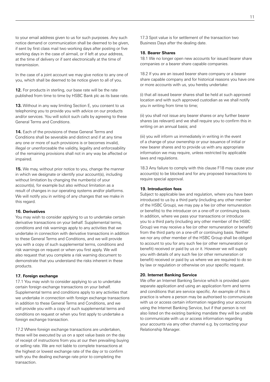to your email address given to us for such purposes. Any such notice demand or communication shall be deemed to be given, if sent by first class mail two working days after posting or five working days in the case of airmail, or if left at your address, at the time of delivery or if sent electronically at the time of transmission.

In the case of a joint account we may give notice to any one of you, which shall be deemed to be notice given to all of you.

**12.** For products in sterling, our base rate will be the rate published from time to time by HSBC Bank plc as its base rate.

**13.** Without in any way limiting Section E, you consent to us telephoning you to provide you with advice on our products and/or services. You will solicit such calls by agreeing to these General Terms and Conditions.

**14.** Each of the provisions of these General Terms and Conditions shall be severable and distinct and if at any time any one or more of such provisions is or becomes invalid, illegal or unenforceable the validity, legality and enforceability of the remaining provisions shall not in any way be affected or impaired.

**15.** We may, without prior notice to you, change the manner in which we designate or identify your account(s), including without limitation by changing the number(s) of your account(s), for example but also without limitation as a result of changes in our operating systems and/or platforms. We will notify you in writing of any changes that we make in this regard.

#### **16. Derivatives**

You may wish to consider applying to us to undertake certain derivative transactions on your behalf. Supplemental terms, conditions and risk warnings apply to any activities that we undertake in connection with derivative transactions in addition to these General Terms and Conditions, and we will provide you with a copy of such supplemental terms, conditions and risk warnings on request or when you first apply. We will also request that you complete a risk warning document to demonstrate that you understand the risks inherent in these products.

#### **17. Foreign exchange**

17.1 You may wish to consider applying to us to undertake certain foreign exchange transactions on your behalf. Supplemental terms and conditions apply to any activities that we undertake in connection with foreign exchange transactions in addition to these General Terms and Conditions, and we will provide you with a copy of such supplemental terms and conditions on request or when you first apply to undertake a foreign exchange transaction.

17.2 Where foreign exchange transactions are undertaken, these will be executed by us on a spot value basis on the day of receipt of instructions from you at our then prevailing buying or selling rate. We are not liable to complete transactions at the highest or lowest exchange rate of the day or to confirm with you the dealing exchange rate prior to completing the transaction.

17.3 Spot value is for settlement of the transaction two Business Days after the dealing date.

#### **18. Bearer Shares**

18.1 We no longer open new accounts for issued bearer share companies or a bearer share capable companies.

18.2 If you are an issued bearer share company or a bearer share capable company and for historical reasons you have one or more accounts with us, you hereby undertake:

(i) that all issued bearer shares shall be held at such approved location and with such approved custodian as we shall notify you in writing from time to time;

(ii) you shall not issue any bearer shares or any further bearer shares (as relevant) and we shall require you to confirm this in writing on an annual basis; and

(iii) you will inform us immediately in writing in the event of a change of your ownership or your issuance of initial or new bearer shares and to provide us with any appropriate information we may require, unless restricted by applicable laws and regulations.

18.3 Any failure to comply with this clause F18 may cause your account(s) to be blocked and for any proposed transactions to require special approval.

#### **19. Introduction fees**

Subject to applicable law and regulation, where you have been introduced to us by a third party (including any other member of the HSBC Group), we may pay a fee (or other remuneration or benefits) to the introducer on a one-off or continuing basis. In addition, where we pass your transactions or introduce you to a third party (including any other member of the HSBC Group) we may receive a fee (or other remuneration or benefit) from the third party on a one-off or continuing basis. Neither we nor any other member of the HSBC Group shall be obliged to account to you for any such fee (or other remuneration or benefit) received or paid by us or it. However we will supply you with details of any such fee (or other remuneration or benefit) received or paid by us where we are required to do so by law or regulation or otherwise on your specific request.

#### **20. Internet Banking Service**

We offer an Internet Banking Service which is provided upon separate application and using an application form and terms and conditions that are service specific. An example of this in practice is where a person may be authorised to communicate with us or access certain information regarding your accounts using the Internet Banking Service, but if that person is not also listed on the existing banking mandate they will be unable to communicate with us or access information regarding your accounts via any other channel e.g. by contacting your Relationship Manager.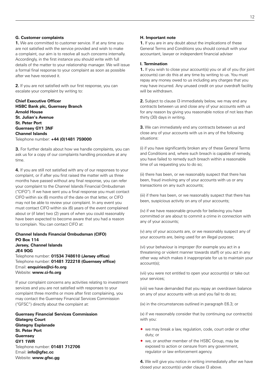#### **G. Customer complaints**

**1.** We are committed to customer service. If at any time you are not satisfied with the service provided and wish to make a complaint, our aim is to resolve all such concerns internally. Accordingly, in the first instance you should write with full details of the matter to your relationship manager. We will issue a formal final response to your complaint as soon as possible after we have received it.

**2.** If you are not satisfied with our first response, you can escalate your complaint by writing to:

**Chief Executive Officer HSBC Bank plc, Guernsey Branch Arnold House St. Julian's Avenue St. Peter Port Guernsey GY1 3NF Channel Islands**  Telephone number: **+44 (0)1481 759000** 

**3.** For further details about how we handle complaints, you can ask us for a copy of our complaints handling procedure at any time.

**4.** If you are still not satisfied with any of our responses to your complaint, or if after you first raised the matter with us three months have passed without any final response, you can refer your complaint to the Channel Islands Financial Ombudsman ("CIFO"). If we have sent you a final response you must contact CIFO within six (6) months of the date on that letter, or CIFO may not be able to review your complaint. In any event you must contact CIFO within six (6) years of the event complained about or (if later) two (2) years of when you could reasonably have been expected to become aware that you had a reason to complain. You can contact CIFO at:

#### **Channel Islands Financial Ombudsman (CIFO) PO Box 114 Jersey, Channel Islands JE4 9QG**

Telephone number: **01534 748610 (Jersey office)**  Telephone number: **01481 722218 (Guernsey office)**  Email: **enquiries@ci-fo.org**  Website: **www.ci-fo.org** 

If your complaint concerns any activities relating to investment services and you are not satisfied with responses to your complaint three months or more after first complaining, you may contact the Guernsey Financial Services Commission ("GFSC") directly about the complaint at:

**Guernsey Financial Services Commission Glategny Court Glategny Esplanade St. Peter Port Guernsey GY1 1WR**  Telephone number: **01481 712706**  Email: **info@gfsc.cc**  Website: **www.gfsc.gg** 

#### **H. Important note**

**1.** If you are in any doubt about the implications of these General Terms and Conditions you should consult with your accountant, lawyer or independent financial adviser

#### **I. Termination**

**1.** If you wish to close your account(s) you or all of you (for joint accounts) can do this at any time by writing to us. You must repay any money owed to us including any charges that you may have incurred. Any unused credit on your overdraft facility will be withdrawn.

**2.** Subject to clause I3 immediately below, we may end any contracts between us and close any of your accounts with us for any reason by giving you reasonable notice of not less than thirty (30) days in writing.

**3.** We can immediately end any contracts between us and close any of your accounts with us in any of the following situations:

(i) if you have significantly broken any of these General Terms and Conditions and, where such breach is capable of remedy, you have failed to remedy such breach within a reasonable time of us requesting you to do so;

(ii) there has been, or we reasonably suspect that there has been, fraud involving any of your accounts with us or any transactions on any such accounts;

(iii) if there has been, or we reasonably suspect that there has been, suspicious activity on any of your accounts;

(iv) if we have reasonable grounds for believing you have committed or are about to commit a crime in connection with any of your accounts;

(v) any of your accounts are, or we reasonably suspect any of your accounts are, being used for an illegal purpose;

(vi) your behaviour is improper (for example you act in a threatening or violent manner towards staff) or you act in any other way which makes it inappropriate for us to maintain your account(s);

(vii) you were not entitled to open your account(s) or take out your services;

(viii) we have demanded that you repay an overdrawn balance on any of your accounts with us and you fail to do so;

(ix) in the circumstances outlined in paragraph E6.3; or

(x) if we reasonably consider that by continuing our contract(s) with you:

- ® we may break a law, regulation, code, court order or other duty; or
- ® we, or another member of the HSBC Group, may be exposed to action or censure from any government, regulator or law enforcement agency.

**4.** We will give you notice in writing immediately after we have closed your account(s) under clause I3 above.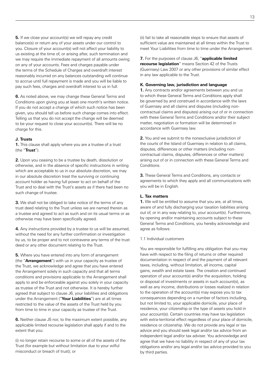**5.** If we close your account(s) we will repay any credit balance(s) or return any of your assets under our control to you. Closure of your account(s) will not affect your liability to us existing at the time of, or arising after, such termination and we may require the immediate repayment of all amounts owing on any of your accounts. Fees and charges payable under the terms of the Schedule of Charges and overdraft interest reasonably incurred on any balances outstanding will continue to accrue until full repayment is made and you will be liable to pay such fees, charges and overdraft interest to us in full.

**6.** As noted above, we may change these General Terms and Conditions upon giving you at least one month's written notice. If you do not accept a change of which such notice has been given, you should tell us before such change comes into effect. Telling us that you do not accept the change will be deemed to be your request to close your account(s). There will be no charge for this.

#### **J. Trusts**

**1.** This clause shall apply where you are a trustee of a trust (the "**Trust**").

**2.** Upon you ceasing to be a trustee by death, dissolution or otherwise, and in the absence of specific instructions in writing which are acceptable to us in our absolute discretion, we may in our absolute discretion treat the surviving or continuing account holder as having full power to act on behalf of the Trust and to deal with the Trust's assets as if there had been no such change of trustee.

**3.** We shall not be obliged to take notice of the terms of any trust deed relating to the Trust unless we are named therein as a trustee and agreed to act as such and on its usual terms or as otherwise may have been specifically agreed.

**4.** Any instructions provided by a trustee to us will be assumed, without the need for any further confirmation or investigation by us, to be proper and to not contravene any terms of the trust deed or any other document relating to the Trust.

**5.** Where you have entered into any form of arrangement (the "**Arrangement**") with us in your capacity as trustee of the Trust, we acknowledge and agree that you have entered the Arrangement solely in such capacity and that all terms conditions and provisions applicable to the Arrangement shall apply to and be enforceable against you solely in your capacity as trustee of the Trust and not otherwise. It is hereby further agreed that subject to clause J6, your liabilities and obligations under the Arrangement ("**Your Liabilities**") are at all times restricted to the value of the assets of the Trust held by you from time to time in your capacity as trustee of the Trust.

**6.** Neither clause J5 nor, to the maximum extent possible, any applicable limited recourse legislation shall apply if and to the extent that you:

(i) no longer retain recourse to some or all of the assets of the Trust (for example but without limitation due to your wilful misconduct or breach of trust); or

(ii) fail to take all reasonable steps to ensure that assets of sufficient value are maintained at all times within the Trust to meet Your Liabilities from time to time under the Arrangement.

**7.** For the purposes of clause J6, "**applicable limited recourse legislation**" means Section 42 of the Trusts (Guernsey) Law 2007 or any other provisions of similar effect in any law applicable to the Trust.

#### **K. Governing law, jurisdiction and language**

**1.** Any contracts and/or agreements between you and us to which these General Terms and Conditions apply shall be governed by and construed in accordance with the laws of Guernsey and all claims and disputes (including noncontractual claims and disputes) arising out of or in connection with these General Terms and Conditions and/or their subject matter, negotiation or formation will be determined in accordance with Guernsey law.

**2.** You and we submit to the nonexclusive jurisdiction of the courts of the Island of Guernsey in relation to all claims, disputes, differences or other matters (including noncontractual claims, disputes, differences or other matters) arising out of or in connection with these General Terms and Conditions.

**3.** These General Terms and Conditions, any contacts or agreements to which they apply and all communications with you will be in English.

#### **L. Tax matters**

**1.** We will be entitled to assume that you are, at all times, aware of and fully discharging your taxation liabilities arising out of, or in any way relating to, your account(s). Furthermore, by opening and/or maintaining accounts subject to these General Terms and Conditions, you hereby acknowledge and agree as follows:

#### 1.1 Individual customers

You are responsible for fulfilling any obligation that you may have with respect to the filing of returns or other required documentation in respect of and the payment of all relevant taxes, including, without limitation, all income, capital gains, wealth and estate taxes. The creation and continued operation of your account(s) and/or the acquisition, holding or disposal of investments or assets in such account(s), as well as any income, distributions or losses realized in relation to the operation of the account(s) may expose you to tax consequences depending on a number of factors including, but not limited to, your applicable domicile, your place of residence, your citizenship or the type of assets you hold in your account(s). Certain countries may have tax legislation with extra-territorial effect regardless of your place of domicile, residence or citizenship. We do not provide any legal or tax advice and you should seek legal and/or tax advice from an independent legal and/or tax adviser. You acknowledge and agree that we have no liability in respect of any of your tax obligations and/or any legal and/or tax advice provided to you by third parties.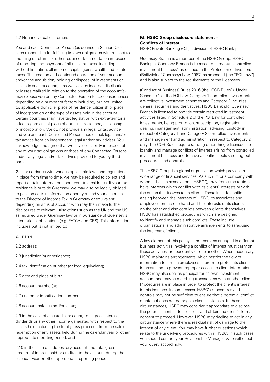#### 1.2 Non-individual customers

You and each Connected Person (as defined in Section O) is each responsible for fulfilling its own obligations with respect to the filing of returns or other required documentation in respect of reporting and payment of all relevant taxes, including, without limitation, all income, capital gains, wealth and estate taxes. The creation and continued operation of your account(s) and/or the acquisition, holding or disposal of investments or assets in such account(s), as well as any income, distributions or losses realized in relation to the operation of the account(s) may expose you or any Connected Person to tax consequences depending on a number of factors including, but not limited to, applicable domicile, place of residence, citizenship, place of incorporation or the type of assets held in the account. Certain countries may have tax legislation with extra-territorial effect regardless of place of domicile, residence, citizenship or incorporation. We do not provide any legal or tax advice and you and each Connected Person should seek legal and/or tax advice from an independent legal and/or tax adviser. You acknowledge and agree that we have no liability in respect of any of your tax obligations or those of any Connected Persons and/or any legal and/or tax advice provided to you by third parties.

**2.** In accordance with various applicable laws and regulations in place from time to time, we may be required to collect and report certain information about your tax residence. If your tax residence is outside Guernsey, we may also be legally obliged to pass on certain information about you and your accounts to the Director of Income Tax in Guernsey or equivalent depending on situs of account who may then make further disclosures to relevant jurisdictions such as the UK and the US as required under Guernsey law or in pursuance of Guernsey's international obligations (e.g. FATCA and CRS). This information includes but is not limited to:

- 2.1 name;
- 2.2 address;
- 2.3 jurisdiction(s) or residence;
- 2.4 tax identification number (or local equivalent);
- 2.5 date and place of birth;
- 2.6 account number(s);
- 2.7 customer identification number(s);
- 2.8 account balance and/or value;

2.9 in the case of a custodial account, total gross interest, dividends or any other income generated with respect to the assets held including the total gross proceeds from the sale or redemption of any assets held during the calendar year or other appropriate reporting period; and

2.10 in the case of a depository account, the total gross amount of interest paid or credited to the account during the calendar year or other appropriate reporting period.

#### **M. HSBC Group disclosure statement – Conflicts of interest**

HSBC Private Banking (C.I.) a division of HSBC Bank plc,

Guernsey Branch is a member of the HSBC Group. HSBC Bank plc, Guernsey Branch is licensed to carry out "controlled investment business" as defined in the Protection of Investors (Bailiwick of Guernsey) Law, 1987, as amended (the "POI Law") and is also subject to the requirements of the Licensees

(Conduct of Business) Rules 2016 (the "COB Rules"). Under Schedule 1 of the POI Law, Category 1 controlled investments are collective investment schemes and Category 2 includes general securities and derivatives. HSBC Bank plc, Guernsey Branch is licensed to provide certain restricted investment activities listed in Schedule 2 of the POI Law for controlled investments, being promotion, subscription, registration, dealing, management, administration, advising, custody in respect of Category 1 and Category 2 controlled investments and management and administration in respect to Category 2 only. The COB Rules require (among other things) licensees to identify and manage conflicts of interest arising from controlled investment business and to have a conflicts policy setting out procedures and controls.

The HSBC Group is a global organisation which provides a wide range of financial services. As such, it, or a company with whom it has an association ("HSBC"), may from time to time have interests which conflict with its clients' interests or with the duties that it owes to its clients. These include conflicts arising between the interests of HSBC, its associates and employees on the one hand and the interests of its clients on the other and also conflicts between clients themselves. HSBC has established procedures which are designed to identify and manage such conflicts. These include organisational and administrative arrangements to safeguard the interests of clients.

A key element of this policy is that persons engaged in different business activities involving a conflict of interest must carry on those activities independently of one another. Where necessary, HSBC maintains arrangements which restrict the flow of information to certain employees in order to protect its clients' interests and to prevent improper access to client information. HSBC may also deal as principal for its own investment account and maybe matching transactions with another client. Procedures are in place in order to protect the client's interest in this instance. In some cases, HSBC's procedures and controls may not be sufficient to ensure that a potential conflict of interest does not damage a client's interests. In these circumstances, HSBC may consider it appropriate to disclose the potential conflict to the client and obtain the client's formal consent to proceed. However, HSBC may decline to act in any circumstance where there is residual risk of damage to the interest of any client. You may have further questions which relate to the underlying procedures within HSBC. In such cases you should contact your Relationship Manager, who will direct your query accordingly.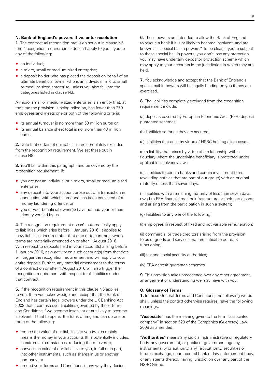#### **N. Bank of England's powers if we enter resolution**

**1.** The contractual recognition provision set out in clause N5 (the "recognition requirement") doesn't apply to you if you're any of the following:

- $\bullet$  an individual:
- ◆ a micro, small or medium-sized enterprise;
- ® a deposit holder who has placed the deposit on behalf of an ultimate beneficial owner who is an individual, micro, small or medium sized enterprise; unless you also fall into the categories listed in clause N3.

A micro, small or medium-sized enterprise is an entity that, at the time the provision is being relied on, has fewer than 250 employees and meets one or both of the following criteria:

- ® its annual turnover is no more than 50 million euros or;
- $\bullet$  its annual balance sheet total is no more than 43 million euros.

**2.** Note that certain of our liabilities are completely excluded from the recognition requirement. We set these out in clause N8.

**3.** You'll fall within this paragraph, and be covered by the recognition requirement, if:

- ® you are not an individual or a micro, small or medium-sized enterprise;
- ® any deposit into your account arose out of a transaction in connection with which someone has been convicted of a money laundering offence; or
- ® you or your beneficial owner(s) have not had your or their identity verified by us.

**4.** The recognition requirement doesn't automatically apply to liabilities which arise before 1 January 2016. It applies to 'new liabilities' incurred after that date or to contracts whose terms are materially amended on or after 1 August 2016. With respect to deposits held in your account(s) arising before 1 January 2016, new activity on such account(s) from that date will trigger the recognition requirement and will apply to your entire deposit. Further, any material amendment to the terms of a contract on or after 1 August 2016 will also trigger the recognition requirement with respect to all liabilities under that contract.

**5.** If the recognition requirement in this clause N5 applies to you, then you acknowledge and accept that the Bank of England has certain legal powers under the UK Banking Act 2009 that it can use over liabilities governed by these Terms and Conditions if we become insolvent or are likely to become insolvent. If that happens, the Bank of England can do one or more of the following:

- $\bullet$  reduce the value of our liabilities to you (which mainly means the money in your accounts (this potentially includes, in extreme circumstances, reducing them to zero));
- $\bullet$  convert the value of our liabilities to you, in full or in part, into other instruments, such as shares in us or another company; or
- ® amend your Terms and Conditions in any way they decide.

**6.** These powers are intended to allow the Bank of England to rescue a bank if it is or likely to become insolvent, and are known as "special bail-in powers." To be clear, if you're subject to these special bail-in powers, you don't lose any protection you may have under any depositor protection scheme which may apply to your accounts in the jurisdiction in which they are held.

**7.** You acknowledge and accept that the Bank of England's special bail-in powers will be legally binding on you if they are exercised.

**8.** The liabilities completely excluded from the recognition requirement include:

(a) deposits covered by European Economic Area (EEA) deposit guarantee schemes;

(b) liabilities so far as they are secured;

(c) liabilities that arise by virtue of HSBC holding client assets;

(d) a liability that arises by virtue of a relationship with a fiduciary where the underlying beneficiary is protected under applicable insolvency law ;

(e) liabilities to certain banks and certain investment firms (excluding entities that are part of our group) with an original maturity of less than seven days;

(f) liabilities with a remaining maturity of less than seven days, owed to EEA financial market infrastructure or their participants and arising from the participation in such a system;

(g) liabilities to any one of the following:

(i) employees in respect of fixed and not variable remuneration;

(ii) commercial or trade creditors arising from the provision to us of goods and services that are critical to our daily functioning;

(iii) tax and social security authorities;

(iv) EEA deposit guarantee schemes.

**9.** This provision takes precedence over any other agreement, arrangement or understanding we may have with you.

#### **O. Glossary of Terms**

**1.** In these General Terms and Conditions, the following words shall, unless the context otherwise requires, have the following meanings:

"**Associate**" has the meaning given to the term "associated company" in section 529 of the Companies (Guernsey) Law, 2008 as amended..

"**Authorities**" means any judicial, administrative or regulatory body, any government, or public or government agency, instrumentality or authority, any Tax Authority, securities or futures exchange, court, central bank or law enforcement body, or any agents thereof, having jurisdiction over any part of the HSBC Group.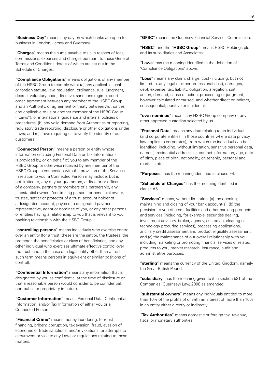"**Business Day**" means any day on which banks are open for business in London, Jersey and Guernsey.

"**Charges**" means the sums payable to us in respect of fees, commissions, expenses and charges pursuant to these General Terms and Conditions details of which are set out in the Schedule of Charges.

"**Compliance Obligations**" means obligations of any member of the HSBC Group to comply with: (a) any applicable local or foreign statute, law, regulation, ordinance, rule, judgment, decree, voluntary code, directive, sanctions regime, court order, agreement between any member of the HSBC Group and an Authority, or agreement or treaty between Authorities and applicable to us or another member of the HSBC Group ("Laws"), or international guidance and internal policies or procedures; (b) any valid demand from Authorities or reporting, regulatory trade reporting, disclosure or other obligations under Laws; and (c) Laws requiring us to verify the identity of our customers.

"**Connected Person**" means a person or entity whose information (including Personal Data or Tax Information) is provided by, or on behalf of, you to any member of the HSBC Group or otherwise received by any member of the HSBC Group in connection with the provision of the Services. In relation to you, a Connected Person may include, but is not limited to, any of your guarantors, a director or officer of a company, partners or members of a partnership, any 'substantial owner', 'controlling person', or beneficial owner, trustee, settler or protector of a trust, account holder of a designated account, payee of a designated payment, representative, agent or nominee of you, or any other persons or entities having a relationship to you that is relevant to your banking relationship with the HSBC Group.

"**controlling persons**" means individuals who exercise control over an entity (for a trust, these are the settlor, the trustees, the protector, the beneficiaries or class of beneficiaries, and any other individual who exercises ultimate effective control over the trust, and in the case of a legal entity other than a trust, such term means persons in equivalent or similar positions of control).

"**Confidential Information**" means any information that is designated by you as confidential at the time of disclosure or that a reasonable person would consider to be confidential, non-public or proprietary in nature.

"**Customer Information**" means Personal Data, Confidential Information, and/or Tax Information of either you or a Connected Person.

"**Financial Crime**" means money laundering, terrorist financing, bribery, corruption, tax evasion, fraud, evasion of economic or trade sanctions, and/or violations, or attempts to circumvent or violate any Laws or regulations relating to these matters.

"**GFSC**" means the Guernsey Financial Services Commission.

"**HSBC**" and the "**HSBC Group**" means HSBC Holdings plc and its subsidiaries and Associates;

"**Laws**" has the meaning identified in the definition of 'Compliance Obligations' above.

"**Loss**" means any claim, charge, cost (including, but not limited to, any legal or other professional cost), damages, debt, expense, tax, liability, obligation, allegation, suit, action, demand, cause of action, proceeding or judgment, however calculated or caused, and whether direct or indirect, consequential, punitive or incidental.

"**own nominee**" means any HSBC Group company or any other approved custodian selected by us.

"**Personal Data**" means any data relating to an individual (and corporate entities, in those countries where data privacy law applies to corporates), from which the individual can be identified, including, without limitation, sensitive personal data, name(s), residential address(es), contact information, age, date of birth, place of birth, nationality, citizenship, personal and marital status.

"**Purposes**" has the meaning identified in clause E4.

"**Schedule of Charges**" has the meaning identified in clause A5.

"**Services**" means, without limitation: (a) the opening, maintaining and closing of your bank account(s); (b) the provision to you of credit facilities and other banking products and services (including, for example, securities dealing, investment advisory, broker, agency, custodian, clearing or technology procuring services), processing applications, ancillary credit assessment and product eligibility assessment; and (c) the maintenance of our overall relationship with you, including marketing or promoting financial services or related products to you, market research, insurance, audit and administrative purposes.

"**sterling**" means the currency of the United Kingdom, namely the Great British Pound.

"**subsidiary**" has the meaning given to it in section 531 of the Companies (Guernsey) Law, 2008 as amended.

"**substantial owners**" means any individuals entitled to more than 10% of the profits of or with an interest of more than 10% in an entity either directly or indirectly.

"**Tax Authorities**" means domestic or foreign tax, revenue, fiscal or monetary authorities.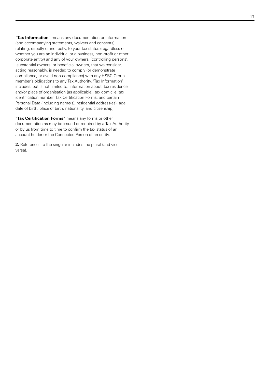"**Tax Information**" means any documentation or information (and accompanying statements, waivers and consents) relating, directly or indirectly, to your tax status (regardless of whether you are an individual or a business, non-profit or other corporate entity) and any of your owners, 'controlling persons', 'substantial owners' or beneficial owners, that we consider, acting reasonably, is needed to comply (or demonstrate compliance, or avoid non-compliance) with any HSBC Group member's obligations to any Tax Authority. 'Tax Information' includes, but is not limited to, information about: tax residence and/or place of organisation (as applicable), tax domicile, tax identification number, Tax Certification Forms, and certain Personal Data (including name(s), residential address(es), age, date of birth, place of birth, nationality, and citizenship). "**Tax Certification Forms**" means any forms or other

documentation as may be issued or required by a Tax Authority or by us from time to time to confirm the tax status of an account holder or the Connected Person of an entity.

**2.** References to the singular includes the plural (and vice versa).